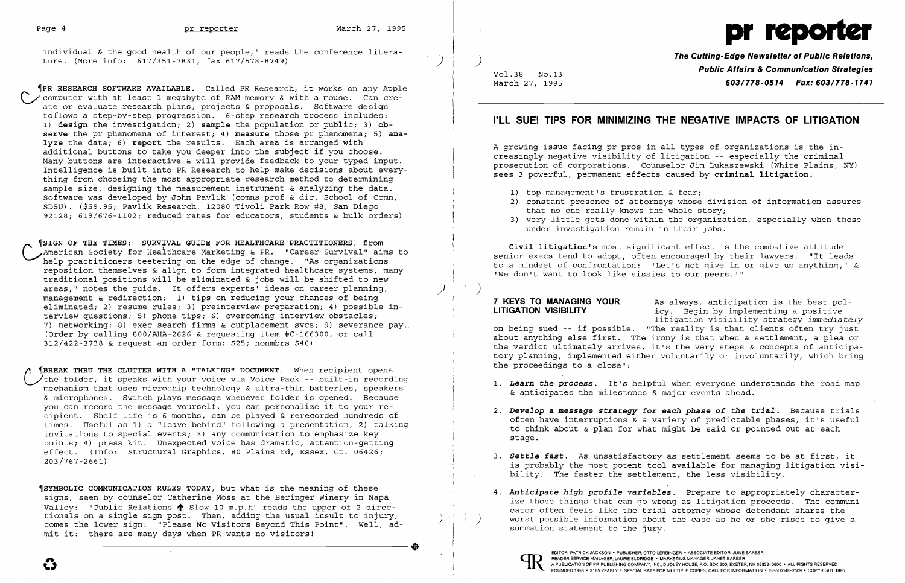individual & the good health of our people," reads the conference litera-<br>ture. (More info: 617/351-7831, fax 617/578-8749)



~PR **RESEARCH SOFTWARE AVAILABLE.** Called PR Research, it works on any Apple computer with at least 1 megabyte of RAM memory  $\&$  with a mouse. Can create or evaluate research plans, projects & proposals. Software design follows a step-by-step progression. 6-step research process includes: 1) **design** the investigation; 2) **sample** the population or public; 3) **observe** the pr phenomena of interest; 4) **measure** those pr phenomena; 5) **analyze** the data; 6) **report** the results. Each area is arranged with additional buttons to take you deeper into the subject if you choose. Many buttons are interactive & will provide feedback to your typed input. Intelligence is built into PR Research to help make decisions about everything from choosing the most appropriate research method to determining sample size, designing the measurement instrument & analyzing the data. Software was developed by John Pavlik (comns prof & dir, School of Comn, SDSU). (\$59.95; Pavlik Research, 12080 Tivoli Park Row #8, San Diego 92128; 619/676-1102; reduced rates for educators, students & bulk orders)

**IBREAK THRU THE CLUTTER WITH A "TALKING" DOCUMENT.** When recipient opens ~the folder, it speaks with your voice via Voice Pack -- built-in recording mechanism that uses microchip technology & ultra-thin batteries, speakers & microphones. Switch plays message whenever folder is opened. Because you can record the message yourself, you can personalize it to your re cipient. Shelf life is 6 months, can be played & rerecorded hundreds of times. Useful as 1) a "leave behind" following a presentation, 2) talking invitations to special events; 3) any communication to emphasize key points; 4) press kit. Unexpected voice has dramatic, attention-getting effect. (Info: Structural Graphics, 80 Plains rd, Essex, Ct. 06426; 203/767-2661)

~SYMBOLIC **COMMUNICATION RULES TODAY,** but what is the meaning of these signs, seen by counselor Catherine Moss at the Beringer Winery in Napa Valley: "Public Relations  $\bigwedge$  Slow 10 m.p.h" reads the upper of 2 direcexample is the computed on the sign post. Then, adding the usual insult to injury,<br>comes the lower sign: "Please No Visitors Beyond This Point". Well, admit it: there are many days when PR wants no visitors! comes the lower sign: "Please No Visitors Beyond This Point". Well, ad-

~SIGN **OF THE TIMES: SURVIVAL GUIDE FOR** HEALTHCARE **PRACTITIONERS,** from American Society for Healthcare Marketing & PR. "Career Survival" aims to help practitioners teetering on the edge of change. "As organizations reposition themselves & align to form integrated healthcare systems, many traditional positions will be eliminated & jobs will be shifted to new areas," notes the guide. It offers experts' ideas on career planning, ) management & redirection: 1) tips on reducing your chances of being eliminated; 2) resume rules; 3) preinterview preparation; 4) possible interview questions; 5) phone tips; 6) overcoming interview obstacles; 7) networking; 8) exec search firms & outplacement svcs; 9) severance pay. (Order by calling 800/AHA-2626 & requesting item  $#C-166300$ , or call 312/422-3738 & request an order form; \$25; nonmbrs \$40)

**The Cutting-Edge Newsletter of Public Relations,**<br>**Public Affairs & Communication Strategies**<br>**603/778-0514 Fax: 603/778-1741** مستوى المستوى المستوى المستوى المستوى المستوى المستوى المستوى المستوى المستوى ال March 27, 1995 **603/778-0514 Fax: 603/778-1741** 

**7 KEYS TO MANAGING YOUR** As always, anticipation is the best pol-<br>**LITIGATION VISIBILITY All and Sect of the best political contract of the sect of the sect of the sect of the s** icy. Begin by implementing a positive litigation visibility strategy *immediately*  on being sued -- if possible. "The reality is that clients often try just about anything else first. The irony is that when a settlement, a plea or the verdict ultimately arrives, it's the very steps & concepts of anticipatory planning, implemented either voluntarily or involuntarily, which bring the proceedings to a close": .

ize those things that can go wrong as litigation proceeds. The communicator often feels like the trial attorney whose defendant shares the worst possible information about the case as he or she rises to give a

# **I'LL SUE! TIPS FOR MINIMIZING THE NEGATIVE IMPACTS OF LITIGATION**

A growing issue facing pr pros in all types of organizations is the increasingly negative visibility of litigation -- especially the criminal prosecution of corporations. Counselor Jim Lukaszewski (White Plains, NY) sees 3 powerful, permanent effects caused by **criminal litigation:** 

2) constant presence of attorneys whose division of information assures 3) very little gets done within the organization, especially when those

- 1) top management's frustration & fear;
- that no one really knows the whole story;
- under investigation remain in their jobs.

1. Learn the process. It's helpful when everyone understands the road map

**civil litigation's** most significant effect is the combative attitude senior execs tend to adopt, often encouraged by their lawyers. "It leads to a mindset of confrontation: 'Let's not give in or give up anything,' & 'We don't want to look like sissies to our peers. '"

)

*2. Develop* **a** *message strategy for each phase of the trial.* Because trials often have interruptions & a variety of predictable phases, it's useful to think about & plan for what might be said or pointed out at each

*3. Settle fast.* As unsatisfactory as settlement seems to be at first, it is probably the most potent tool available for managing litigation visi-

- & anticipates the milestones & major events ahead.
- stage.
- bility. The faster the settlement, the less visibility.
- *4. Anticipate high profile variables.* Prepare to appropriately charactersummation statement to the jury.



EDITOR, PATRICK JACKSON· PUBLISHER, OTTO LERBINGER • ASSOCIATE EDITOR, JUNE BARBER